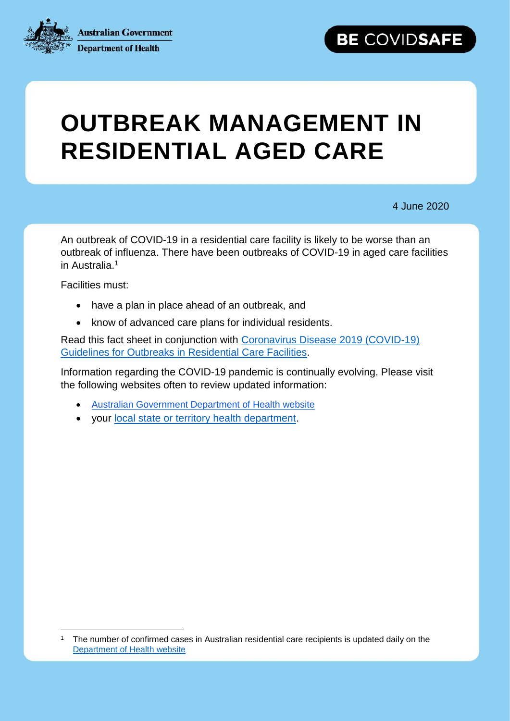**Australian Government** 



**Department of Health** 

# **OUTBREAK MANAGEMENT IN RESIDENTIAL AGED CARE**

4 June 2020

BE COVIDSAFE

An outbreak of COVID-19 in a residential care facility is likely to be worse than an outbreak of influenza. There have been outbreaks of COVID-19 in aged care facilities in Australia.<sup>1</sup>

Facilities must:

 $\overline{a}$ 

- have a plan in place ahead of an outbreak, and
- know of advanced care plans for individual residents.

Read this fact sheet in conjunction with [Coronavirus Disease 2019 \(COVID-19\)](https://www.health.gov.au/resources/publications/coronavirus-covid-19-guidelines-for-outbreaks-in-residential-care-facilities)  [Guidelines for Outbreaks in Residential Care Facilities.](https://www.health.gov.au/resources/publications/coronavirus-covid-19-guidelines-for-outbreaks-in-residential-care-facilities)

Information regarding the COVID-19 pandemic is continually evolving. Please visit the following websites often to review updated information:

- [Australian Government Department of Health](https://www.health.gov.au/news/health-alerts/novel-coronavirus-2019-ncov-health-alert) website
- your [local state or territory health department.](https://www.health.gov.au/about-us/contact-us/local-state-and-territory-health-departments)

<sup>1</sup> The number of confirmed cases in Australian residential care recipients is updated daily on the [Department of Health website](https://www.health.gov.au/news/health-alerts/novel-coronavirus-2019-ncov-health-alert)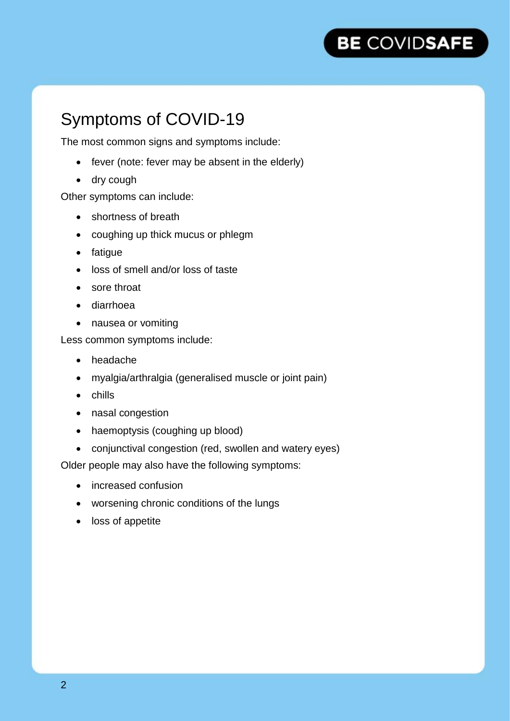

## Symptoms of COVID-19

The most common signs and symptoms include:

- fever (note: fever may be absent in the elderly)
- dry cough

Other symptoms can include:

- shortness of breath
- coughing up thick mucus or phlegm
- fatigue
- loss of smell and/or loss of taste
- sore throat
- diarrhoea
- nausea or vomiting

Less common symptoms include:

- headache
- myalgia/arthralgia (generalised muscle or joint pain)
- chills
- nasal congestion
- haemoptysis (coughing up blood)
- conjunctival congestion (red, swollen and watery eyes)

Older people may also have the following symptoms:

- increased confusion
- worsening chronic conditions of the lungs
- loss of appetite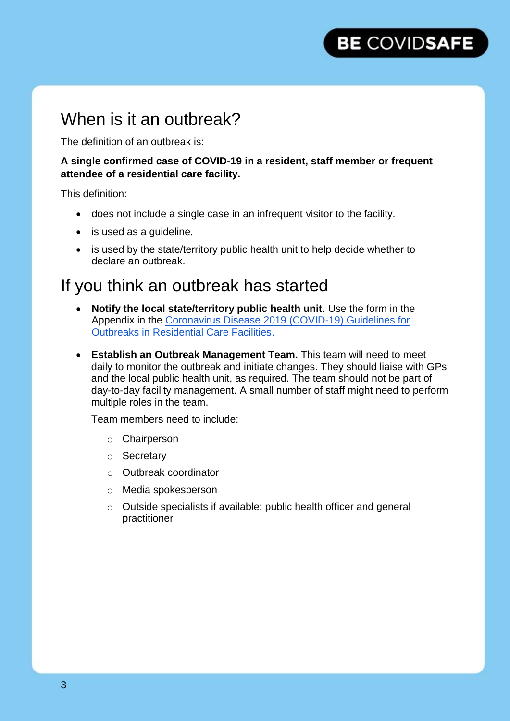## When is it an outbreak?

The definition of an outbreak is:

**A single confirmed case of COVID-19 in a resident, staff member or frequent attendee of a residential care facility.**

This definition:

- does not include a single case in an infrequent visitor to the facility.
- is used as a quideline,
- is used by the state/territory public health unit to help decide whether to declare an outbreak.

## If you think an outbreak has started

- **Notify the local state/territory public health unit.** Use the form in the Appendix in the [Coronavirus Disease 2019 \(COVID-19\) Guidelines for](https://www.health.gov.au/resources/publications/coronavirus-covid-19-guidelines-for-outbreaks-in-residential-care-facilities)  [Outbreaks in Residential Care Facilities.](https://www.health.gov.au/resources/publications/coronavirus-covid-19-guidelines-for-outbreaks-in-residential-care-facilities)
- **Establish an Outbreak Management Team.** This team will need to meet daily to monitor the outbreak and initiate changes. They should liaise with GPs and the local public health unit, as required. The team should not be part of day-to-day facility management. A small number of staff might need to perform multiple roles in the team.

Team members need to include:

- o Chairperson
- o Secretary
- o Outbreak coordinator
- o Media spokesperson
- o Outside specialists if available: public health officer and general practitioner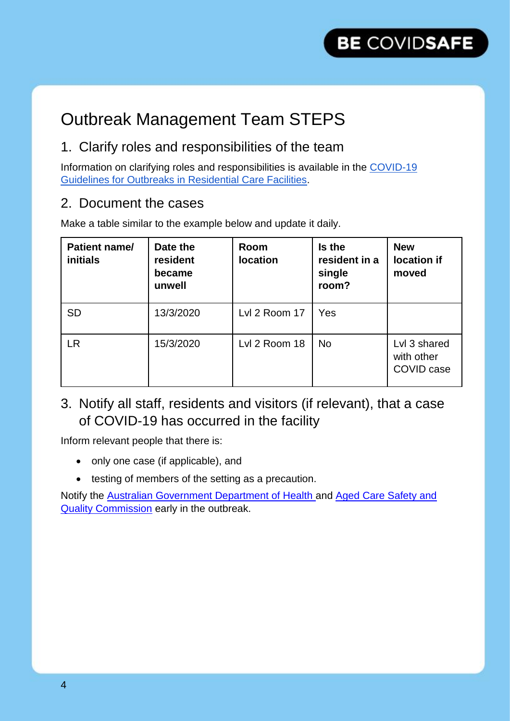## Outbreak Management Team STEPS

### 1. Clarify roles and responsibilities of the team

Information on clarifying roles and responsibilities is available in the COVID-19 Guidelines for Outbreaks in Residential Care Facilities.

### 2. Document the cases

Make a table similar to the example below and update it daily.

| Patient name/<br>initials | Date the<br>resident<br>became<br>unwell | <b>Room</b><br><b>location</b> | Is the<br>resident in a<br>single<br>room? | <b>New</b><br>location if<br>moved       |
|---------------------------|------------------------------------------|--------------------------------|--------------------------------------------|------------------------------------------|
| <b>SD</b>                 | 13/3/2020                                | Lvl 2 Room 17                  | Yes                                        |                                          |
| <b>LR</b>                 | 15/3/2020                                | Lvl 2 Room 18                  | <b>No</b>                                  | Lvl 3 shared<br>with other<br>COVID case |

3. Notify all staff, residents and visitors (if relevant), that a case of COVID-19 has occurred in the facility

Inform relevant people that there is:

- only one case (if applicable), and
- testing of members of the setting as a precaution.

Notify the [Australian Government Department of Health a](https://www.health.gov.au/about-us/contact-us/state-and-territory-offices%E3)nd [Aged Care Safety and](https://www.agedcarequality.gov.au/)  [Quality Commission](https://www.agedcarequality.gov.au/) early in the outbreak.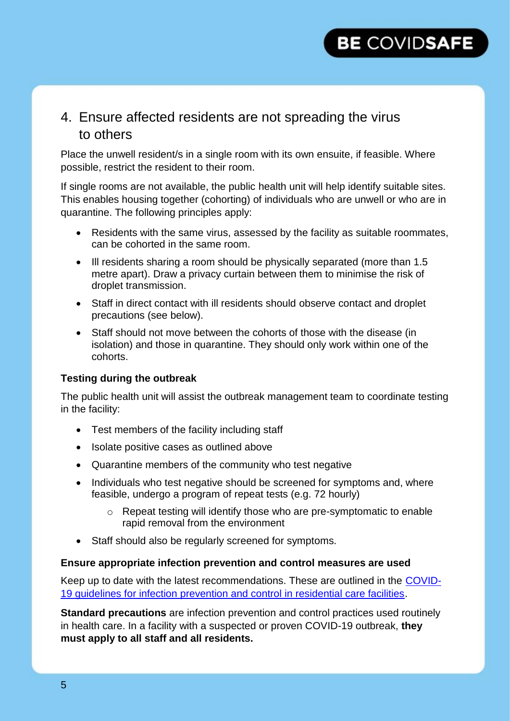### 4. Ensure affected residents are not spreading the virus to others

Place the unwell resident/s in a single room with its own ensuite, if feasible. Where possible, restrict the resident to their room.

If single rooms are not available, the public health unit will help identify suitable sites. This enables housing together (cohorting) of individuals who are unwell or who are in quarantine. The following principles apply:

- Residents with the same virus, assessed by the facility as suitable roommates, can be cohorted in the same room.
- Ill residents sharing a room should be physically separated (more than 1.5 metre apart). Draw a privacy curtain between them to minimise the risk of droplet transmission.
- Staff in direct contact with ill residents should observe contact and droplet precautions (see below).
- Staff should not move between the cohorts of those with the disease (in isolation) and those in quarantine. They should only work within one of the cohorts.

#### **Testing during the outbreak**

The public health unit will assist the outbreak management team to coordinate testing in the facility:

- Test members of the facility including staff
- Isolate positive cases as outlined above
- Quarantine members of the community who test negative
- Individuals who test negative should be screened for symptoms and, where feasible, undergo a program of repeat tests (e.g. 72 hourly)
	- o Repeat testing will identify those who are pre-symptomatic to enable rapid removal from the environment
- Staff should also be regularly screened for symptoms.

#### **Ensure appropriate infection prevention and control measures are used**

Keep up to date with the latest recommendations. These are outlined in the [COVID-](https://www.health.gov.au/resources/publications/coronavirus-covid-19-guidelines-for-infection-prevention-and-control-in-residential-care-facilities)[19 guidelines for infection prevention and control in residential care facilities.](https://www.health.gov.au/resources/publications/coronavirus-covid-19-guidelines-for-infection-prevention-and-control-in-residential-care-facilities)

**Standard precautions** are infection prevention and control practices used routinely in health care. In a facility with a suspected or proven COVID-19 outbreak, **they must apply to all staff and all residents.**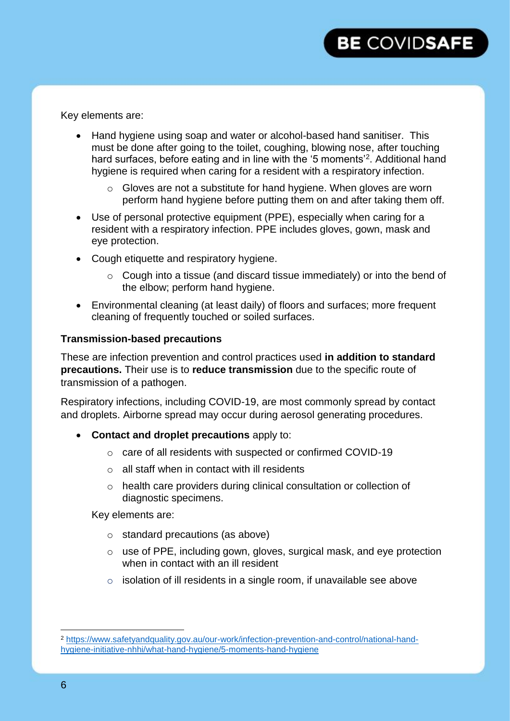## **BE COVIDSAFE**

Key elements are:

- Hand hygiene using soap and water or alcohol-based hand sanitiser. This must be done after going to the toilet, coughing, blowing nose, after touching hard surfaces, before eating and in line with the '5 moments'<sup>2</sup>. Additional hand hygiene is required when caring for a resident with a respiratory infection.
	- o Gloves are not a substitute for hand hygiene. When gloves are worn perform hand hygiene before putting them on and after taking them off.
- Use of personal protective equipment (PPE), especially when caring for a resident with a respiratory infection. PPE includes gloves, gown, mask and eye protection.
- Cough etiquette and respiratory hygiene.
	- o Cough into a tissue (and discard tissue immediately) or into the bend of the elbow; perform hand hygiene.
- Environmental cleaning (at least daily) of floors and surfaces; more frequent cleaning of frequently touched or soiled surfaces.

#### **Transmission-based precautions**

These are infection prevention and control practices used **in addition to standard precautions.** Their use is to **reduce transmission** due to the specific route of transmission of a pathogen.

Respiratory infections, including COVID-19, are most commonly spread by contact and droplets. Airborne spread may occur during aerosol generating procedures.

- **Contact and droplet precautions** apply to:
	- o care of all residents with suspected or confirmed COVID-19
	- $\circ$  all staff when in contact with ill residents
	- o health care providers during clinical consultation or collection of diagnostic specimens.

Key elements are:

- o standard precautions (as above)
- o use of PPE, including gown, gloves, surgical mask, and eye protection when in contact with an ill resident
- $\circ$  isolation of ill residents in a single room, if unavailable see above

 $\overline{a}$ 

<sup>2</sup> [https://www.safetyandquality.gov.au/our-work/infection-prevention-and-control/national-hand](https://www.safetyandquality.gov.au/our-work/infection-prevention-and-control/national-hand-hygiene-initiative-nhhi/what-hand-hygiene/5-moments-hand-hygiene)[hygiene-initiative-nhhi/what-hand-hygiene/5-moments-hand-hygiene](https://www.safetyandquality.gov.au/our-work/infection-prevention-and-control/national-hand-hygiene-initiative-nhhi/what-hand-hygiene/5-moments-hand-hygiene)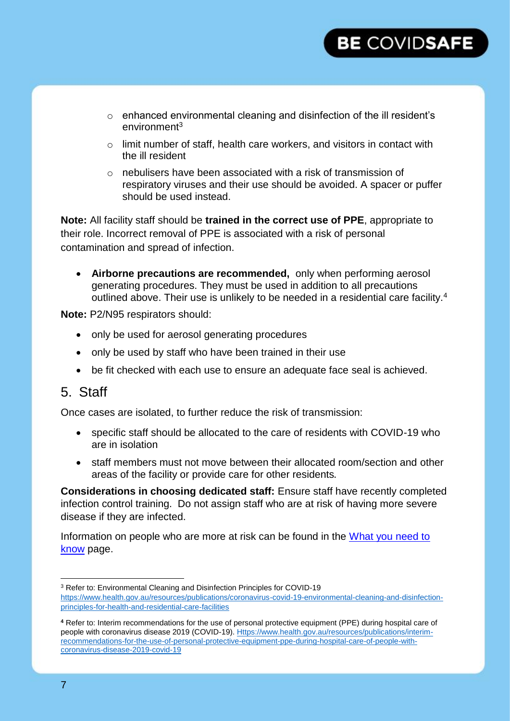- o enhanced environmental cleaning and disinfection of the ill resident's environment<sup>3</sup>
- $\circ$  limit number of staff, health care workers, and visitors in contact with the ill resident
- o nebulisers have been associated with a risk of transmission of respiratory viruses and their use should be avoided. A spacer or puffer should be used instead.

**Note:** All facility staff should be **trained in the correct use of PPE**, appropriate to their role. Incorrect removal of PPE is associated with a risk of personal contamination and spread of infection.

 **Airborne precautions are recommended,** only when performing aerosol generating procedures. They must be used in addition to all precautions outlined above. Their use is unlikely to be needed in a residential care facility.<sup>4</sup>

**Note:** P2/N95 respirators should:

- only be used for aerosol generating procedures
- only be used by staff who have been trained in their use
- be fit checked with each use to ensure an adequate face seal is achieved.

### 5. Staff

Once cases are isolated, to further reduce the risk of transmission:

- specific staff should be allocated to the care of residents with COVID-19 who are in isolation
- staff members must not move between their allocated room/section and other areas of the facility or provide care for other residents.

**Considerations in choosing dedicated staff:** Ensure staff have recently completed infection control training. Do not assign staff who are at risk of having more severe disease if they are infected.

Information on people who are more at risk can be found in the [What you](https://www.health.gov.au/news/health-alerts/novel-coronavirus-2019-ncov-health-alert/what-you-need-to-know-about-coronavirus-covid-19#who-is-most-at-risk) need to [know](https://www.health.gov.au/news/health-alerts/novel-coronavirus-2019-ncov-health-alert/what-you-need-to-know-about-coronavirus-covid-19#who-is-most-at-risk) page.

<sup>&</sup>lt;sup>3</sup> Refer to: Environmental Cleaning and Disinfection Principles for COVID-19 [https://www.health.gov.au/resources/publications/coronavirus-covid-19-environmental-cleaning-and-disinfection](https://www.health.gov.au/resources/publications/coronavirus-covid-19-environmental-cleaning-and-disinfection-principles-for-health-and-residential-care-facilities)[principles-for-health-and-residential-care-facilities](https://www.health.gov.au/resources/publications/coronavirus-covid-19-environmental-cleaning-and-disinfection-principles-for-health-and-residential-care-facilities)

**<sup>4</sup>** Refer to: Interim recommendations for the use of personal protective equipment (PPE) during hospital care of people with coronavirus disease 2019 (COVID-19)[. Https://www.health.gov.au/resources/publications/interim](https://www.health.gov.au/resources/publications/interim-recommendations-for-the-use-of-personal-protective-equipment-ppe-during-hospital-care-of-people-with-coronavirus-disease-2019-covid-19)[recommendations-for-the-use-of-personal-protective-equipment-ppe-during-hospital-care-of-people-with](https://www.health.gov.au/resources/publications/interim-recommendations-for-the-use-of-personal-protective-equipment-ppe-during-hospital-care-of-people-with-coronavirus-disease-2019-covid-19)[coronavirus-disease-2019-covid-19](https://www.health.gov.au/resources/publications/interim-recommendations-for-the-use-of-personal-protective-equipment-ppe-during-hospital-care-of-people-with-coronavirus-disease-2019-covid-19)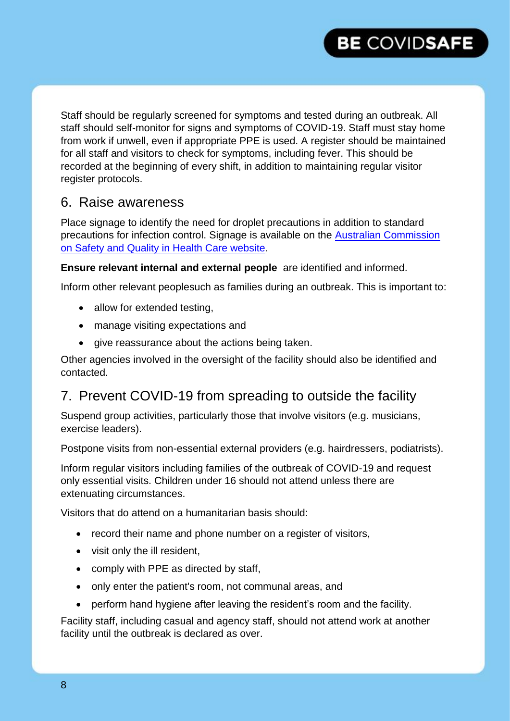

Staff should be regularly screened for symptoms and tested during an outbreak. All staff should self-monitor for signs and symptoms of COVID-19. Staff must stay home from work if unwell, even if appropriate PPE is used. A register should be maintained for all staff and visitors to check for symptoms, including fever. This should be recorded at the beginning of every shift, in addition to maintaining regular visitor register protocols.

### 6. Raise awareness

Place signage to identify the need for droplet precautions in addition to standard precautions for infection control. Signage is available on the [Australian Commission](https://www.safetyandquality.gov.au/publications-and-resources/resource-library/approach-1-droplet-standard-precautions-photo)  [on Safety and Quality in Health Care website.](https://www.safetyandquality.gov.au/publications-and-resources/resource-library/approach-1-droplet-standard-precautions-photo)

**Ensure relevant internal and external people** are identified and informed.

Inform other relevant peoplesuch as families during an outbreak. This is important to:

- allow for extended testing,
- manage visiting expectations and
- give reassurance about the actions being taken.

Other agencies involved in the oversight of the facility should also be identified and contacted.

## 7. Prevent COVID-19 from spreading to outside the facility

Suspend group activities, particularly those that involve visitors (e.g. musicians, exercise leaders).

Postpone visits from non-essential external providers (e.g. hairdressers, podiatrists).

Inform regular visitors including families of the outbreak of COVID-19 and request only essential visits. Children under 16 should not attend unless there are extenuating circumstances.

Visitors that do attend on a humanitarian basis should:

- record their name and phone number on a register of visitors,
- visit only the ill resident,
- comply with PPE as directed by staff.
- only enter the patient's room, not communal areas, and
- perform hand hygiene after leaving the resident's room and the facility.

Facility staff, including casual and agency staff, should not attend work at another facility until the outbreak is declared as over.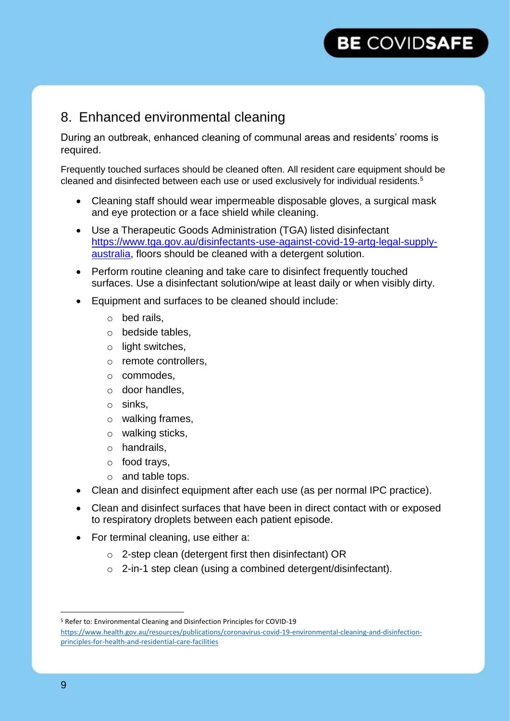## 8. Enhanced environmental cleaning

During an outbreak, enhanced cleaning of communal areas and residents' rooms is required.

Frequently touched surfaces should be cleaned often. All resident care equipment should be cleaned and disinfected between each use or used exclusively for individual residents.<sup>5</sup>

- Cleaning staff should wear impermeable disposable gloves, a surgical mask and eye protection or a face shield while cleaning.
- Use a Therapeutic Goods Administration (TGA) listed disinfectant [https://www.tga.gov.au/disinfectants-use-against-covid-19-artg-legal-supply](https://www.tga.gov.au/disinfectants-use-against-covid-19-artg-legal-supply-australia)[australia,](https://www.tga.gov.au/disinfectants-use-against-covid-19-artg-legal-supply-australia) floors should be cleaned with a detergent solution.
- Perform routine cleaning and take care to disinfect frequently touched surfaces. Use a disinfectant solution/wipe at least daily or when visibly dirty.
- Equipment and surfaces to be cleaned should include:
	- o bed rails,
	- o bedside tables,
	- o light switches,
	- o remote controllers,
	- o commodes,
	- o door handles,
	- o sinks,
	- o walking frames,
	- o walking sticks,
	- o handrails,
	- o food trays,
	- o and table tops.
- Clean and disinfect equipment after each use (as per normal IPC practice).
- Clean and disinfect surfaces that have been in direct contact with or exposed to respiratory droplets between each patient episode.
- For terminal cleaning, use either a:
	- o 2-step clean (detergent first then disinfectant) OR
	- o 2-in-1 step clean (using a combined detergent/disinfectant).

 $\overline{a}$ 

<sup>5</sup> Refer to: Environmental Cleaning and Disinfection Principles for COVID-19 [https://www.health.gov.au/resources/publications/coronavirus-covid-19-environmental-cleaning-and-disinfection](https://www.health.gov.au/resources/publications/coronavirus-covid-19-environmental-cleaning-and-disinfection-principles-for-health-and-residential-care-facilities)[principles-for-health-and-residential-care-facilities](https://www.health.gov.au/resources/publications/coronavirus-covid-19-environmental-cleaning-and-disinfection-principles-for-health-and-residential-care-facilities)